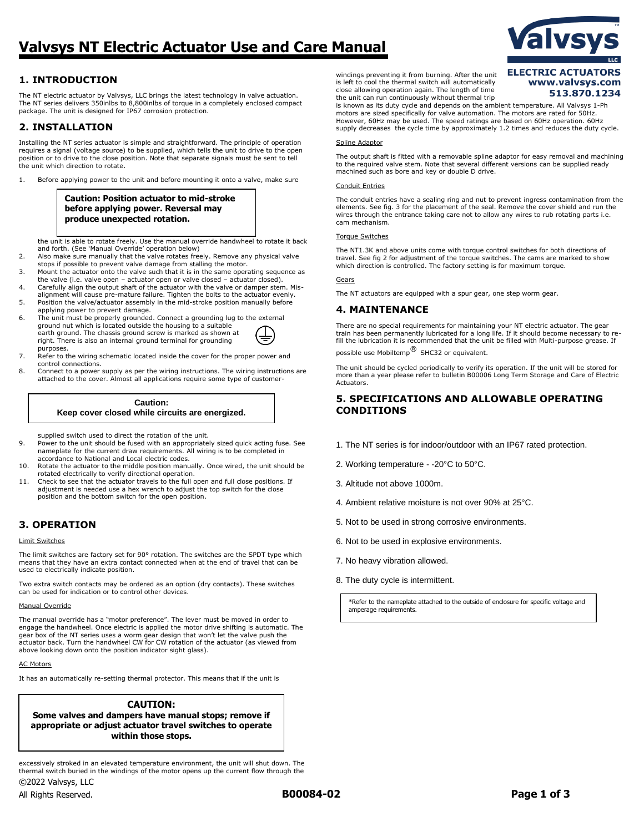# **Valvsys NT Electric Actuator Use and Care Manual**

# **1. INTRODUCTION**

The NT electric actuator by Valvsys, LLC brings the latest technology in valve actuation. The NT series delivers 350inlbs to 8,800inlbs of torque in a completely enclosed compact package. The unit is designed for IP67 corrosion protection.

# **2. INSTALLATION**

Installing the NT series actuator is simple and straightforward. The principle of operation requires a signal (voltage source) to be supplied, which tells the unit to drive to the open position or to drive to the close position. Note that separate signals must be sent to tell .<br>the unit which direction to rotate.

1. Before applying power to the unit and before mounting it onto a valve, make sure

**Caution: Position actuator to mid-stroke before applying power. Reversal may produce unexpected rotation.**

the unit is able to rotate freely. Use the manual override handwheel to rotate it back and forth. (See 'Manual Override' operation below)

- 2. Also make sure manually that the valve rotates freely. Remove any physical valve stops if possible to prevent valve damage from stalling the motor.
- 3. Mount the actuator onto the valve such that it is in the same operating sequence as the valve (i.e. valve open – actuator open or valve closed – actuator closed).
- 4. Carefully align the output shaft of the actuator with the valve or damper stem. Mis-alignment will cause pre-mature failure. Tighten the bolts to the actuator evenly.
- 5. Position the valve/actuator assembly in the mid-stroke position manually before applying power to prevent damage.
- 6. The unit must be properly grounded. Connect a grounding lug to the external ground nut which is located outside the housing to a suitable earth ground. The chassis ground screw is marked as shown at right. There is also an internal ground terminal for grounding purposes.
- 7. Refer to the wiring schematic located inside the cover for the proper power and control connections.
- 8. Connect to a power supply as per the wiring instructions. The wiring instructions are attached to the cover. Almost all applications require some type of customer-

### **Caution: Keep cover closed while circuits are energized.**

supplied switch used to direct the rotation of the unit.

- 9. Power to the unit should be fused with an appropriately sized quick acting fuse. See nameplate for the current draw requirements. All wiring is to be completed in accordance to National and Local electric codes.
- 10. Rotate the actuator to the middle position manually. Once wired, the unit should be rotated electrically to verify directional operation.
- 11. Check to see that the actuator travels to the full open and full close positions. If adjustment is needed use a hex wrench to adjust the top switch for the close position and the bottom switch for the open position.

# **3. OPERATION**

#### Limit Switches

The limit switches are factory set for 90° rotation. The switches are the SPDT type which means that they have an extra contact connected when at the end of travel that can be used to electrically indicate position.

Two extra switch contacts may be ordered as an option (dry contacts). These switches can be used for indication or to control other devices.

#### Manual Override

The manual override has a "motor preference". The lever must be moved in order to engage the handwheel. Once electric is applied the motor drive shifting is automatic. The gear box of the NT series uses a worm gear design that won't let the valve push the actuator back. Turn the handwheel CW for CW rotation of the actuator (as viewed from above looking down onto the position indicator sight glass).

#### AC Motors

It has an automatically re-setting thermal protector. This means that if the unit is

# **CAUTION:**

**Some valves and dampers have manual stops; remove if appropriate or adjust actuator travel switches to operate within those stops.**

©2022 Valvsys, LLC excessively stroked in an elevated temperature environment, the unit will shut down. The thermal switch buried in the windings of the motor opens up the current flow through the

All Rights Reserved. **B00084-02 Page 1 of 3**

windings preventing it from burning. After the unit is left to cool the thermal switch will automatically close allowing operation again. The length of time the unit can run continuously without thermal trip

## **ELECTRIC ACTUATORS** www.valvsys.com 513.870.1234

is known as its duty cycle and depends on the ambient temperature. All Valvsys 1-Ph motors are sized specifically for valve automation. The motors are rated for 50Hz. However, 60Hz may be used. The speed ratings are based on 60Hz operation. 60Hz supply decreases the cycle time by approximately 1.2 times and reduces the duty cycle.

#### Spline Adaptor

The output shaft is fitted with a removable spline adaptor for easy removal and machining to the required valve stem. Note that several different versions can be supplied ready machined such as bore and key or double D drive.

#### Conduit Entries

The conduit entries have a sealing ring and nut to prevent ingress contamination from the elements. See fig. 3 for the placement of the seal. Remove the cover shield and run the wires through the entrance taking care not to allow any wires to rub rotating parts i.e. cam mechanism.

#### Torque Switches

The NT1.3K and above units come with torque control switches for both directions of travel. See fig 2 for adjustment of the torque switches. The cams are marked to show which direction is controlled. The factory setting is for maximum torque.

#### Gears

The NT actuators are equipped with a spur gear, one step worm gear.

### **4. MAINTENANCE**

There are no special requirements for maintaining your NT electric actuator. The gear train has been permanently lubricated for a long life. If it should become necessary to refill the lubrication it is recommended that the unit be filled with Multi-purpose grease. If possible use Mobiltemp<sup>®</sup> SHC32 or equivalent.

The unit should be cycled periodically to verify its operation. If the unit will be stored for more than a year please refer to bulletin B00006 Long Term Storage and Care of Electric Actuators.

### **5. SPECIFICATIONS AND ALLOWABLE OPERATING CONDITIONS**

- 1. The NT series is for indoor/outdoor with an IP67 rated protection.
- 2. Working temperature -20°C to 50°C.
- 3. Altitude not above 1000m.
- 4. Ambient relative moisture is not over 90% at 25°C.
- 5. Not to be used in strong corrosive environments.
- 6. Not to be used in explosive environments.
- 7. No heavy vibration allowed.
- 8. The duty cycle is intermittent.

\*Refer to the nameplate attached to the outside of enclosure for specific voltage and amperage requirements.

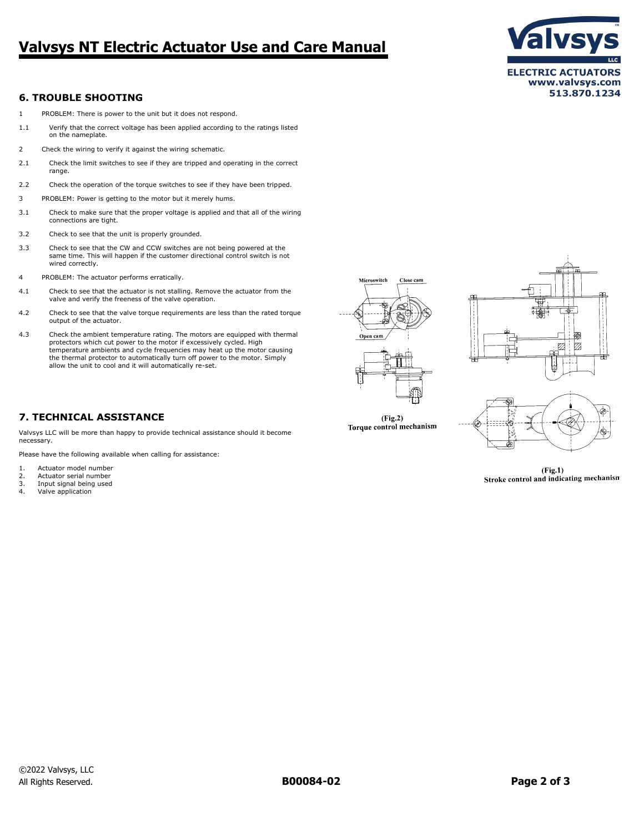# **Valvsys NT Electric Actuator Use and Care Manual**



## **6. TROUBLE SHOOTING**

- 1 PROBLEM: There is power to the unit but it does not respond.
- 1.1 Verify that the correct voltage has been applied according to the ratings listed on the nameplate.
- 2 Check the wiring to verify it against the wiring schematic.
- 2.1 Check the limit switches to see if they are tripped and operating in the correct range.
- 2.2 Check the operation of the torque switches to see if they have been tripped.
- 3 PROBLEM: Power is getting to the motor but it merely hums.
- 3.1 Check to make sure that the proper voltage is applied and that all of the wiring connections are tight.
- 3.2 Check to see that the unit is properly grounded.
- 3.3 Check to see that the CW and CCW switches are not being powered at the same time. This will happen if the customer directional control switch is not wired correctly.
- 4 PROBLEM: The actuator performs erratically.
- 4.1 Check to see that the actuator is not stalling. Remove the actuator from the valve and verify the freeness of the valve operation.
- 4.2 Check to see that the valve torque requirements are less than the rated torque output of the actuator.
- 4.3 Check the ambient temperature rating. The motors are equipped with thermal protectors which cut power to the motor if excessively cycled. High temperature ambients and cycle frequencies may heat up the motor causing the thermal protector to automatically turn off power to the motor. Simply allow the unit to cool and it will automatically re-set.

## **7. TECHNICAL ASSISTANCE**

Valvsys LLC will be more than happy to provide technical assistance should it become necessary.

Please have the following available when calling for assistance:

- 1. Actuator model number
- 2. Actuator serial number
- 3. Input signal being used<br>4. Valve application
- Valve application



 $(Fig.2)$ Torque control mechanism



 $(Fig.1)$ Stroke control and indicating mechanism